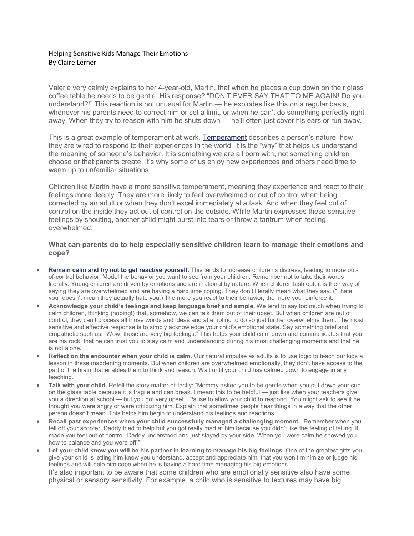## Helping Sensitive Kids Manage Their Emotions By Claire Lerner

Valerie very calmly explains to her 4-year-old, Martin, that when he places a cup down on their glass coffee table he needs to be gentle. His response? "DON'T EVER SAY THAT TO ME AGAIN! Do you understand?!" This reaction is not unusual for Martin — he explodes like this on a regular basis, whenever his parents need to correct him or set a limit, or when he can't do something perfectly right away. When they try to reason with him he shuts down — he'll often just cover his ears or run away.

This is a great example of temperament at work. [Temperament](http://www.pbs.org/parents/expert-tips-advice/2015/09/understanding-childs-temperament/) describes a person's nature, how they are wired to respond to their experiences in the world. It is the "why" that helps us understand the meaning of someone's behavior. It is something we are all born with, not something children choose or that parents create. It's why some of us enjoy new experiences and others need time to warm up to unfamiliar situations.

Children like Martin have a more sensitive temperament, meaning they experience and react to their feelings more deeply. They are more likely to feel overwhelmed or out of control when being corrected by an adult or when they don't excel immediately at a task. And when they feel out of control on the inside they act out of control on the outside. While Martin expresses these sensitive feelings by shouting, another child might burst into tears or throw a tantrum when feeling overwhelmed.

## **What can parents do to help especially sensitive children learn to manage their emotions and cope?**

- **[Remain calm and try not to get reactive yourself.](http://www.pbs.org/parents/expert-tips-advice/2018/08/responsive-vs-reactive-parenting-it-makes-all-the-difference/)** This tends to increase children's distress, leading to more outof-control behavior. Model the behavior you want to see from your children. Remember not to take their words literally. Young children are driven by emotions and are irrational by nature. When children lash out, it is their way of saying they are overwhelmed and are having a hard time coping. They don't literally mean what they say. ("I hate you" doesn't mean they actually hate you.) The more you react to their behavior, the more you reinforce it.
- **Acknowledge your child's feelings and keep language brief and simple.** We tend to say too much when trying to calm children, thinking (hoping!) that, somehow, we can talk them out of their upset. But when children are out of control, they can't process all those words and ideas and attempting to do so just further overwhelms them. The most sensitive and effective response is to simply acknowledge your child's emotional state. Say something brief and empathetic such as, "Wow, those are very big feelings." This helps your child calm down and communicates that you are his rock; that he can trust you to stay calm and understanding during his most challenging moments and that he is not alone.
- **Reflect on the encounter when your child is calm.** Our natural impulse as adults is to use logic to teach our kids a lesson in these maddening moments. But when children are overwhelmed emotionally, they don't have access to the part of the brain that enables them to think and reason. Wait until your child has calmed down to engage in any teaching.
- **Talk with your child.** Retell the story matter-of-factly: "Mommy asked you to be gentle when you put down your cup on the glass table because it is fragile and can break. I meant this to be helpful — just like when your teachers give you a direction at school — but you got very upset." Pause to allow your child to respond. You might ask to see if he thought you were angry or were criticizing him. Explain that sometimes people hear things in a way that the other person doesn't mean. This helps him begin to understand his feelings and reactions.
- **Recall past experiences when your child successfully managed a challenging moment.** "Remember when you fell off your scooter. Daddy tried to help but you got really mad at him because you didn't like the feeling of falling. It made you feel out of control. Daddy understood and just stayed by your side. When you were calm he showed you how to balance and you were off!"
- **Let your child know you will be his partner in learning to manage his big feelings.** One of the greatest gifts you give your child is letting him know you understand, accept and appreciate him; that you won't minimize or judge his feelings and will help him cope when he is having a hard time managing his big emotions. It's also important to be aware that some children who are emotionally sensitive also have some physical or sensory sensitivity. For example, a child who is sensitive to textures may have big